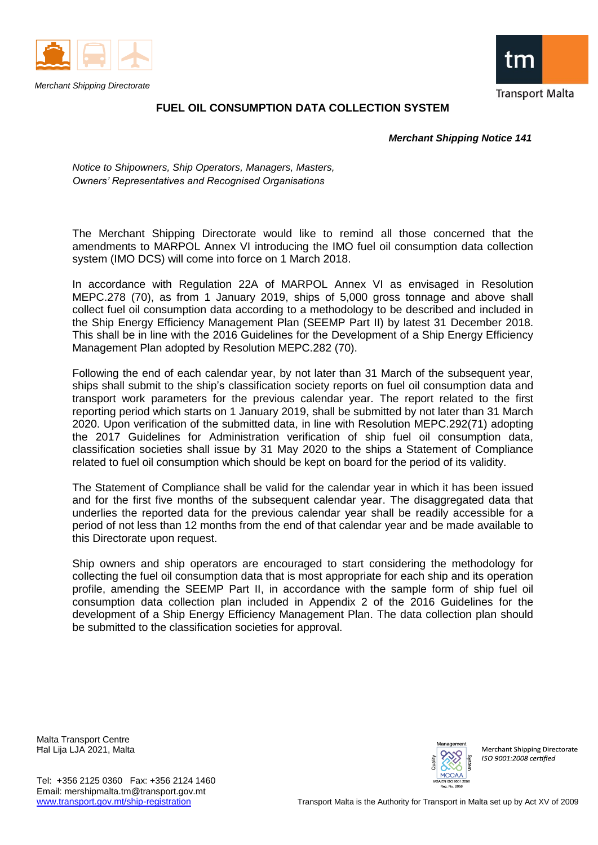

*Merchant Shipping Directorate*



## **FUEL OIL CONSUMPTION DATA COLLECTION SYSTEM**

 *Merchant Shipping Notice 141*

*Notice to Shipowners, Ship Operators, Managers, Masters, Owners' Representatives and Recognised Organisations*

The Merchant Shipping Directorate would like to remind all those concerned that the amendments to MARPOL Annex VI introducing the IMO fuel oil consumption data collection system (IMO DCS) will come into force on 1 March 2018.

In accordance with Regulation 22A of MARPOL Annex VI as envisaged in Resolution [MEPC.278](http://www.mardep.gov.hk/en/msnote/pdf/msin1707anx1.pdf) (70), as from 1 January 2019, ships of 5,000 gross tonnage and above shall collect fuel oil consumption data according to a methodology to be described and included in the Ship Energy Efficiency Management Plan (SEEMP Part II) by latest 31 December 2018. This shall be in line with the 2016 Guidelines for the Development of a Ship Energy Efficiency Management Plan adopted by [Resolution MEPC.282](http://www.imo.org/en/KnowledgeCentre/IndexofIMOResolutions/Marine-Environment-Protection-Committee-(MEPC)/Documents/MEPC.282(70).pdf) (70).

Following the end of each calendar year, by not later than 31 March of the subsequent year, ships shall submit to the ship's classification society reports on fuel oil consumption data and transport work parameters for the previous calendar year. The report related to the first reporting period which starts on 1 January 2019, shall be submitted by not later than 31 March 2020. Upon verification of the submitted data, in line with Resolution [MEPC.292\(71\)](http://www.mardep.gov.hk/en/msnote/pdf/msin1720anx3.pdf) adopting the 2017 Guidelines for Administration verification of ship fuel oil consumption data, classification societies shall issue by 31 May 2020 to the ships a Statement of Compliance related to fuel oil consumption which should be kept on board for the period of its validity.

The Statement of Compliance shall be valid for the calendar year in which it has been issued and for the first five months of the subsequent calendar year. The disaggregated data that underlies the reported data for the previous calendar year shall be readily accessible for a period of not less than 12 months from the end of that calendar year and be made available to this Directorate upon request.

Ship owners and ship operators are encouraged to start considering the methodology for collecting the fuel oil consumption data that is most appropriate for each ship and its operation profile, amending the SEEMP Part II, in accordance with the sample form of ship fuel oil consumption data collection plan included in Appendix 2 of the 2016 Guidelines for the development of a Ship Energy Efficiency Management Plan. The data collection plan should be submitted to the classification societies for approval.

Malta Transport Centre Ħal Lija LJA 2021, Malta



**Merchant Shipping Directorate** ISO 9001.2008 certified

Tel: +356 2125 0360 Fax: +356 2124 1460 Email: mershipmalta.tm@transport.gov.mt